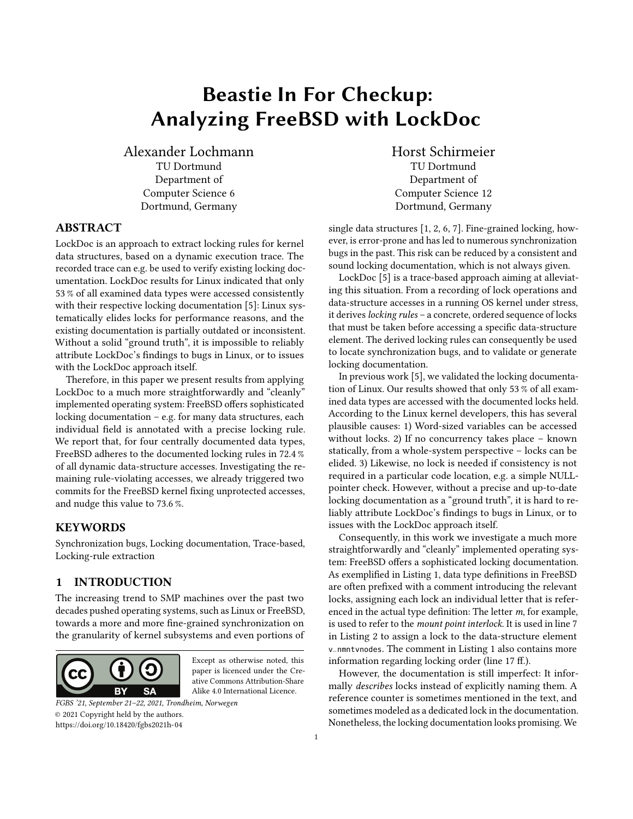# Beastie In For Checkup: Analyzing FreeBSD with LockDoc

Alexander Lochmann TU Dortmund Department of Computer Science 6 Dortmund, Germany

# ABSTRACT

LockDoc is an approach to extract locking rules for kernel data structures, based on a dynamic execution trace. The recorded trace can e.g. be used to verify existing locking documentation. LockDoc results for Linux indicated that only 53 % of all examined data types were accessed consistently with their respective locking documentation [\[5\]](#page-4-0): Linux systematically elides locks for performance reasons, and the existing documentation is partially outdated or inconsistent. Without a solid "ground truth", it is impossible to reliably attribute LockDoc's findings to bugs in Linux, or to issues with the LockDoc approach itself.

Therefore, in this paper we present results from applying LockDoc to a much more straightforwardly and "cleanly" implemented operating system: FreeBSD offers sophisticated locking documentation – e.g. for many data structures, each individual field is annotated with a precise locking rule. We report that, for four centrally documented data types, FreeBSD adheres to the documented locking rules in 72.4 % of all dynamic data-structure accesses. Investigating the remaining rule-violating accesses, we already triggered two commits for the FreeBSD kernel fixing unprotected accesses, and nudge this value to 73.6 %.

#### KEYWORDS

Synchronization bugs, Locking documentation, Trace-based, Locking-rule extraction

# <span id="page-0-0"></span>1 INTRODUCTION

The increasing trend to SMP machines over the past two decades pushed operating systems, such as Linux or FreeBSD, towards a more and more fine-grained synchronization on the granularity of kernel subsystems and even portions of



Except as otherwise noted, this paper is licenced under the Creative Commons Attribution-Share Alike 4.0 International Licence.

FGBS '21, September 21–22, 2021, Trondheim, Norwegen © 2021 Copyright held by the authors. <https://doi.org/10.18420/fgbs2021h-04>

Horst Schirmeier TU Dortmund Department of Computer Science 12 Dortmund, Germany

single data structures [\[1,](#page-3-0) [2,](#page-4-1) [6,](#page-4-2) [7\]](#page-4-3). Fine-grained locking, however, is error-prone and has led to numerous synchronization bugs in the past. This risk can be reduced by a consistent and sound locking documentation, which is not always given.

LockDoc [\[5\]](#page-4-0) is a trace-based approach aiming at alleviating this situation. From a recording of lock operations and data-structure accesses in a running OS kernel under stress, it derives *locking rules* – a concrete, ordered sequence of locks that must be taken before accessing a specific data-structure element. The derived locking rules can consequently be used to locate synchronization bugs, and to validate or generate locking documentation.

In previous work [\[5\]](#page-4-0), we validated the locking documentation of Linux. Our results showed that only 53 % of all examined data types are accessed with the documented locks held. According to the Linux kernel developers, this has several plausible causes: 1) Word-sized variables can be accessed without locks. 2) If no concurrency takes place – known statically, from a whole-system perspective – locks can be elided. 3) Likewise, no lock is needed if consistency is not required in a particular code location, e.g. a simple NULLpointer check. However, without a precise and up-to-date locking documentation as a "ground truth", it is hard to reliably attribute LockDoc's findings to bugs in Linux, or to issues with the LockDoc approach itself.

Consequently, in this work we investigate a much more straightforwardly and "cleanly" implemented operating system: FreeBSD offers a sophisticated locking documentation. As exemplified in [Listing 1,](#page-1-0) data type definitions in FreeBSD are often prefixed with a comment introducing the relevant locks, assigning each lock an individual letter that is referenced in the actual type definition: The letter m, for example, is used to refer to the mount point interlock. It is used in line [7](#page-1-1) in [Listing 2](#page-1-2) to assign a lock to the data-structure element v\_nmntvnodes. The comment in [Listing 1](#page-1-0) also contains more information regarding locking order (line 17 ff.).

However, the documentation is still imperfect: It informally describes locks instead of explicitly naming them. A reference counter is sometimes mentioned in the text, and sometimes modeled as a dedicated lock in the documentation. Nonetheless, the locking documentation looks promising. We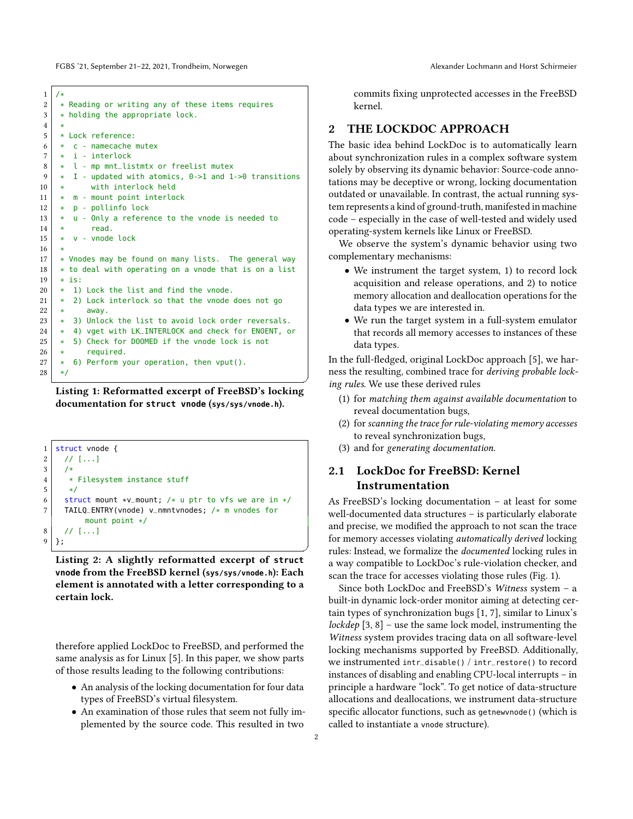FGBS '21, September 21-22, 2021, Trondheim, Norwegen Alexander Lochmann and Horst Schirmeier

```
\begin{array}{c|c} 1 & \rightarrow \\ 2 & \rightarrow \end{array}2 * Reading or writing any of these items requires<br>3 * holding the appropriate lock.
       * holding the appropriate lock.
 \frac{4}{5}5 * Lock reference:
 6 \mid * \mid c - namecache mutex
 7 \times i - interlock
 \begin{array}{c|c} 8 & * & 1 \end{array} - mp mnt_listmtx or freelist mutex<br>9 \begin{array}{c|c} * & * & * \end{array} - undated with atomics \begin{array}{c} 0 \rightarrow 1 \end{array} and 1
            I - updated with atomics, 0->1 and 1->0 transitions
10 | * with interlock held
11 \vert * m - mount point interlock<br>12 \vert * p - pollinfo lock
       12 * p - pollinfo lock
13 * u - Only a reference to the vnode is needed to
14 * read.
15 \times v - v vnode lock
16 *
17 * Vnodes may be found on many lists. The general way
18 * to deal with operating on a vnode that is on a list<br>19 * is:
\begin{array}{c|c} 19 & * & 15 \\ 20 & * & 1 \end{array}\begin{array}{c|c} 20 & * & 1 \end{array} Lock the list and find the vnode.<br>21 * 2) Lock interlock so that the vnode
       21 * 2) Lock interlock so that the vnode does not go
22 * away.
23 * 3) Unlock the list to avoid lock order reversals.
24 * 4) vget with LK_INTERLOCK and check for ENOENT, or<br>25 * 5) Check for DOOMED if the vnode lock is not
            5) Check for DOOMED if the vnode lock is not
\begin{array}{c|c} 26 & * & \text{required.} \\ 27 & * & 6 \text{)} & \text{Perform.} \end{array}27 * 6) Perform your operation, then vput().
28 */
```


<span id="page-1-2"></span>

<span id="page-1-1"></span>Listing 2: A slightly reformatted excerpt of **struct vnode** from the FreeBSD kernel (**sys/sys/vnode.h**): Each element is annotated with a letter corresponding to a certain lock.

therefore applied LockDoc to FreeBSD, and performed the same analysis as for Linux [\[5\]](#page-4-0). In this paper, we show parts of those results leading to the following contributions:

- An analysis of the locking documentation for four data types of FreeBSD's virtual filesystem.
- An examination of those rules that seem not fully implemented by the source code. This resulted in two

commits fixing unprotected accesses in the FreeBSD kernel.

#### 2 THE LOCKDOC APPROACH

The basic idea behind LockDoc is to automatically learn about synchronization rules in a complex software system solely by observing its dynamic behavior: Source-code annotations may be deceptive or wrong, locking documentation outdated or unavailable. In contrast, the actual running system represents a kind of ground-truth, manifested in machine code – especially in the case of well-tested and widely used operating-system kernels like Linux or FreeBSD.

We observe the system's dynamic behavior using two complementary mechanisms:

- We instrument the target system, 1) to record lock acquisition and release operations, and 2) to notice memory allocation and deallocation operations for the data types we are interested in.
- We run the target system in a full-system emulator that records all memory accesses to instances of these data types.

In the full-fledged, original LockDoc approach [\[5\]](#page-4-0), we harness the resulting, combined trace for deriving probable locking rules. We use these derived rules

- (1) for matching them against available documentation to reveal documentation bugs,
- (2) for scanning the trace for rule-violating memory accesses to reveal synchronization bugs,
- (3) and for generating documentation.

# 2.1 LockDoc for FreeBSD: Kernel Instrumentation

As FreeBSD's locking documentation – at least for some well-documented data structures – is particularly elaborate and precise, we modified the approach to not scan the trace for memory accesses violating automatically derived locking rules: Instead, we formalize the documented locking rules in a way compatible to LockDoc's rule-violation checker, and scan the trace for accesses violating those rules [\(Fig. 1\)](#page-2-0).

Since both LockDoc and FreeBSD's Witness system – a built-in dynamic lock-order monitor aiming at detecting certain types of synchronization bugs [\[1,](#page-3-0) [7\]](#page-4-3), similar to Linux's lockdep  $[3, 8]$  $[3, 8]$  $[3, 8]$  – use the same lock model, instrumenting the Witness system provides tracing data on all software-level locking mechanisms supported by FreeBSD. Additionally, we instrumented intr\_disable() / intr\_restore() to record instances of disabling and enabling CPU-local interrupts – in principle a hardware "lock". To get notice of data-structure allocations and deallocations, we instrument data-structure specific allocator functions, such as getnewvnode() (which is called to instantiate a vnode structure).

✆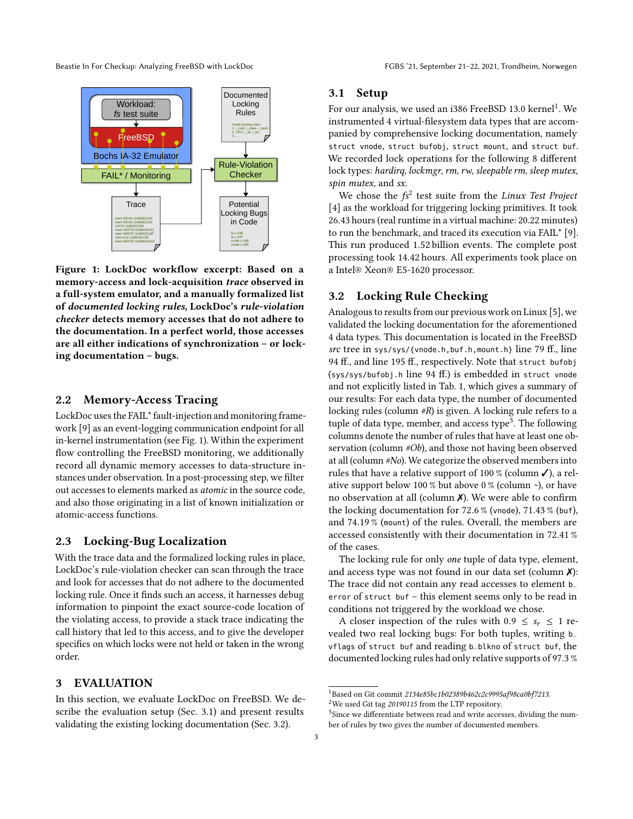Beastie In For Checkup: Analyzing FreeBSD with LockDoc FGBS '21, September 21-22, 2021, Trondheim, Norwegen

<span id="page-2-0"></span>

Figure 1: LockDoc workflow excerpt: Based on a memory-access and lock-acquisition trace observed in a full-system emulator, and a manually formalized list of documented locking rules, LockDoc's rule-violation checker detects memory accesses that do not adhere to the documentation. In a perfect world, those accesses are all either indications of synchronization – or locking documentation – bugs.

# 2.2 Memory-Access Tracing

LockDoc uses the FAIL\* fault-injection and monitoring framework [\[9\]](#page-4-6) as an event-logging communication endpoint for all in-kernel instrumentation (see [Fig. 1\)](#page-2-0). Within the experiment flow controlling the FreeBSD monitoring, we additionally record all dynamic memory accesses to data-structure instances under observation. In a post-processing step, we filter out accesses to elements marked as atomic in the source code, and also those originating in a list of known initialization or atomic-access functions.

#### 2.3 Locking-Bug Localization

With the trace data and the formalized locking rules in place, LockDoc's rule-violation checker can scan through the trace and look for accesses that do not adhere to the documented locking rule. Once it finds such an access, it harnesses debug information to pinpoint the exact source-code location of the violating access, to provide a stack trace indicating the call history that led to this access, and to give the developer specifics on which locks were not held or taken in the wrong order.

# 3 EVALUATION

In this section, we evaluate LockDoc on FreeBSD. We describe the evaluation setup [\(Sec. 3.1\)](#page-2-1) and present results validating the existing locking documentation [\(Sec. 3.2\)](#page-2-2).

#### <span id="page-2-1"></span>3.1 Setup

For our analysis, we used an i386 FreeBSD [1](#page-2-3)3.0  $\mathrm{kernel}^1$ . We instrumented 4 virtual-filesystem data types that are accompanied by comprehensive locking documentation, namely struct vnode, struct bufobj, struct mount, and struct buf. We recorded lock operations for the following 8 different lock types: hardirq, lockmgr, rm, rw, sleepable rm, sleep mutex, spin mutex, and sx.

We chose the  $f\text{s}^2$  $f\text{s}^2$  test suite from the Linux Test Project [\[4\]](#page-4-7) as the workload for triggering locking primitives. It took 26.43 hours (real runtime in a virtual machine: 20.22 minutes) to run the benchmark, and traced its execution via FAIL\* [\[9\]](#page-4-6). This run produced 1.52 billion events. The complete post processing took 14.42 hours. All experiments took place on a Intel® Xeon® E5-1620 processor.

## <span id="page-2-2"></span>3.2 Locking Rule Checking

Analogous to results from our previous work on Linux [\[5\]](#page-4-0), we validated the locking documentation for the aforementioned 4 data types. This documentation is located in the FreeBSD src tree in sys/sys/{vnode.h,buf.h,mount.h} line 79 ff., line 94 ff., and line 195 ff., respectively. Note that struct bufobj (sys/sys/bufobj.h line 94 ff.) is embedded in struct vnode and not explicitly listed in [Tab. 1,](#page-3-1) which gives a summary of our results: For each data type, the number of documented locking rules (column #R) is given. A locking rule refers to a tuple of data type, member, and access type<sup>[3](#page-2-5)</sup>. The following columns denote the number of rules that have at least one observation (column #Ob), and those not having been observed at all (column #No). We categorize the observed members into rules that have a relative support of 100 % (column  $\checkmark$ ), a relative support below 100 % but above 0 % (column  $\sim$ ), or have no observation at all (column  $X$ ). We were able to confirm the locking documentation for 72.6 % (vnode), 71.43 % (buf), and 74.19 % (mount) of the rules. Overall, the members are accessed consistently with their documentation in 72.41 % of the cases.

The locking rule for only one tuple of data type, element, and access type was not found in our data set (column  $\chi$ ): The trace did not contain any read accesses to element b\_ error of struct buf – this element seems only to be read in conditions not triggered by the workload we chose.

A closer inspection of the rules with  $0.9 \leq s_r \leq 1$  revealed two real locking bugs: For both tuples, writing b\_ vflags of struct buf and reading b\_blkno of struct buf, the documented locking rules had only relative supports of 97.3 %

<span id="page-2-3"></span><sup>&</sup>lt;sup>1</sup>Based on Git commit 2134e85bc1b02389b462c2c9995af98ca0bf7213.

<span id="page-2-4"></span><sup>2</sup>We used Git tag 20190115 from the LTP repository.

<span id="page-2-5"></span> ${}^{3}\mathrm{Since}$  we differentiate between read and write accesses, dividing the number of rules by two gives the number of documented members.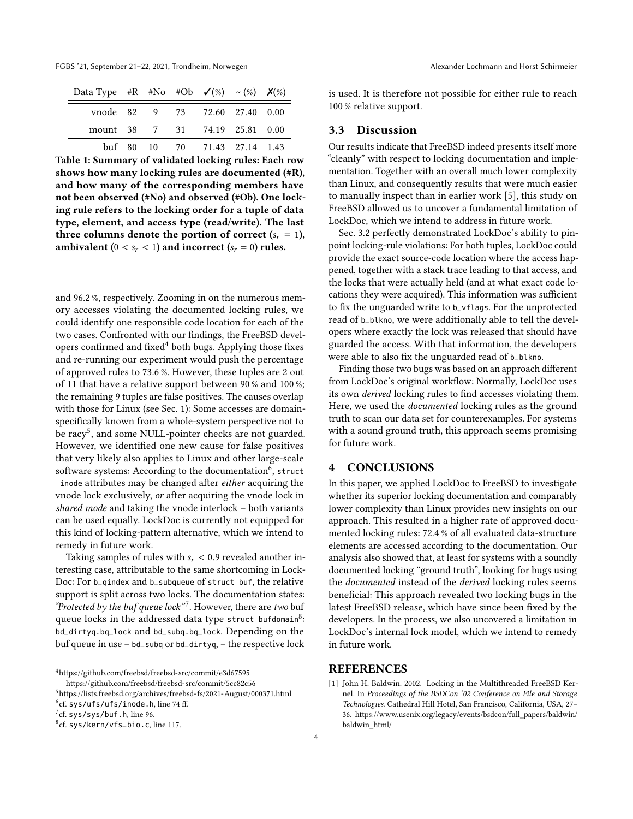FGBS '21, September 21-22, 2021, Trondheim, Norwegen Alexander Lochmann and Horst Schirmeier

<span id="page-3-1"></span>

| Data Type #R #No #Ob $\checkmark$ (%) ~ (%) $\checkmark$ (%) |  |                                |  |
|--------------------------------------------------------------|--|--------------------------------|--|
|                                                              |  | vnode 82 9 73 72.60 27.40 0.00 |  |
| mount 38 7 31 74.19 25.81 0.00                               |  |                                |  |
|                                                              |  | buf 80 10 70 71.43 27.14 1.43  |  |

Table 1: Summary of validated locking rules: Each row shows how many locking rules are documented (#R), and how many of the corresponding members have not been observed (#No) and observed (#Ob). One locking rule refers to the locking order for a tuple of data type, element, and access type (read/write). The last three columns denote the portion of correct  $(s_r = 1)$ , ambivalent ( $0 < s_r < 1$ ) and incorrect ( $s_r = 0$ ) rules.

and 96.2 %, respectively. Zooming in on the numerous memory accesses violating the documented locking rules, we could identify one responsible code location for each of the two cases. Confronted with our findings, the FreeBSD developers confirmed and fixed $4$  both bugs. Applying those fixes and re-running our experiment would push the percentage of approved rules to 73.6 %. However, these tuples are 2 out of 11 that have a relative support between 90 % and 100 %; the remaining 9 tuples are false positives. The causes overlap with those for Linux (see [Sec. 1\)](#page-0-0): Some accesses are domainspecifically known from a whole-system perspective not to be racy<sup>[5](#page-3-3)</sup>, and some NULL-pointer checks are not guarded. However, we identified one new cause for false positives that very likely also applies to Linux and other large-scale software systems: According to the documentation<sup>[6](#page-3-4)</sup>, struct inode attributes may be changed after either acquiring the vnode lock exclusively, or after acquiring the vnode lock in shared mode and taking the vnode interlock – both variants can be used equally. LockDoc is currently not equipped for this kind of locking-pattern alternative, which we intend to remedy in future work.

Taking samples of rules with  $s_r < 0.9$  revealed another interesting case, attributable to the same shortcoming in Lock-Doc: For b\_qindex and b\_subqueue of struct buf, the relative support is split across two locks. The documentation states: "Protected by the buf queue lock"<sup>[7](#page-3-5)</sup>. However, there are two buf queue locks in the addressed data type struct bufdomain $^8\!:\,$  $^8\!:\,$  $^8\!:\,$ bd\_dirtyq.bq\_lock and bd\_subq.bq\_lock. Depending on the buf queue in use – bd\_subq or bd\_dirtyq, – the respective lock

<span id="page-3-2"></span> $^4$ <https://github.com/freebsd/freebsd-src/commit/e3d67595>

<https://github.com/freebsd/freebsd-src/commit/5cc82c56>

<span id="page-3-3"></span><sup>5</sup><https://lists.freebsd.org/archives/freebsd-fs/2021-August/000371.html>

<span id="page-3-4"></span>6 cf. sys/ufs/ufs/inode.h, line 74 ff.

is used. It is therefore not possible for either rule to reach 100 % relative support.

#### 3.3 Discussion

Our results indicate that FreeBSD indeed presents itself more "cleanly" with respect to locking documentation and implementation. Together with an overall much lower complexity than Linux, and consequently results that were much easier to manually inspect than in earlier work [\[5\]](#page-4-0), this study on FreeBSD allowed us to uncover a fundamental limitation of LockDoc, which we intend to address in future work.

[Sec. 3.2](#page-2-2) perfectly demonstrated LockDoc's ability to pinpoint locking-rule violations: For both tuples, LockDoc could provide the exact source-code location where the access happened, together with a stack trace leading to that access, and the locks that were actually held (and at what exact code locations they were acquired). This information was sufficient to fix the unguarded write to b\_vflags. For the unprotected read of b\_blkno, we were additionally able to tell the developers where exactly the lock was released that should have guarded the access. With that information, the developers were able to also fix the unguarded read of b\_blkno.

Finding those two bugs was based on an approach different from LockDoc's original workflow: Normally, LockDoc uses its own derived locking rules to find accesses violating them. Here, we used the documented locking rules as the ground truth to scan our data set for counterexamples. For systems with a sound ground truth, this approach seems promising for future work.

# 4 CONCLUSIONS

In this paper, we applied LockDoc to FreeBSD to investigate whether its superior locking documentation and comparably lower complexity than Linux provides new insights on our approach. This resulted in a higher rate of approved documented locking rules: 72.4 % of all evaluated data-structure elements are accessed according to the documentation. Our analysis also showed that, at least for systems with a soundly documented locking "ground truth", looking for bugs using the documented instead of the derived locking rules seems beneficial: This approach revealed two locking bugs in the latest FreeBSD release, which have since been fixed by the developers. In the process, we also uncovered a limitation in LockDoc's internal lock model, which we intend to remedy in future work.

#### **REFERENCES**

<span id="page-3-0"></span>[1] John H. Baldwin. 2002. Locking in the Multithreaded FreeBSD Kernel. In Proceedings of the BSDCon '02 Conference on File and Storage Technologies. Cathedral Hill Hotel, San Francisco, California, USA, 27– 36. [https://www.usenix.org/legacy/events/bsdcon/full\\_papers/baldwin/](https://www.usenix.org/legacy/events/bsdcon/full_papers/baldwin/baldwin_html/) [baldwin\\_html/](https://www.usenix.org/legacy/events/bsdcon/full_papers/baldwin/baldwin_html/)

<span id="page-3-5"></span> $7$ cf. sys/sys/buf.h, line 96.

<span id="page-3-6"></span><sup>8</sup> cf. sys/kern/vfs\_bio.c, line 117.